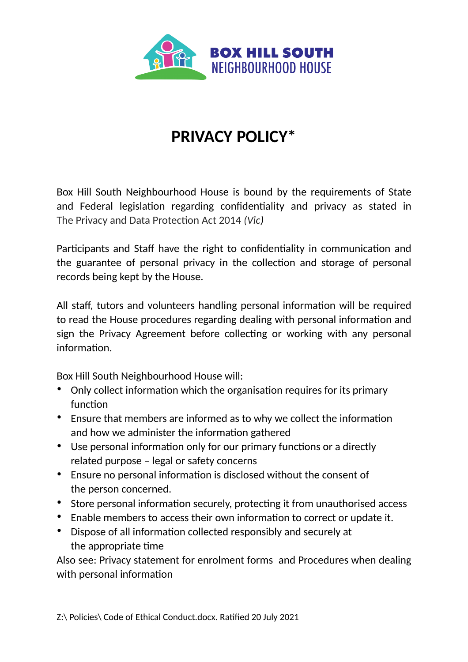

## **PRIVACY POLICY\***

Box Hill South Neighbourhood House is bound by the requirements of State and Federal legislation regarding confidentiality and privacy as stated in The Privacy and Data Protection Act 2014 *(Vic)*

Participants and Staff have the right to confidentiality in communication and the guarantee of personal privacy in the collection and storage of personal records being kept by the House.

All staff, tutors and volunteers handling personal information will be required to read the House procedures regarding dealing with personal information and sign the Privacy Agreement before collecting or working with any personal information.

Box Hill South Neighbourhood House will:

- Only collect information which the organisation requires for its primary function
- Ensure that members are informed as to why we collect the information and how we administer the information gathered
- Use personal information only for our primary functions or a directly related purpose – legal or safety concerns
- Ensure no personal information is disclosed without the consent of the person concerned.
- Store personal information securely, protecting it from unauthorised access
- Enable members to access their own information to correct or update it.
- Dispose of all information collected responsibly and securely at the appropriate time

Also see: Privacy statement for enrolment forms and Procedures when dealing with personal information